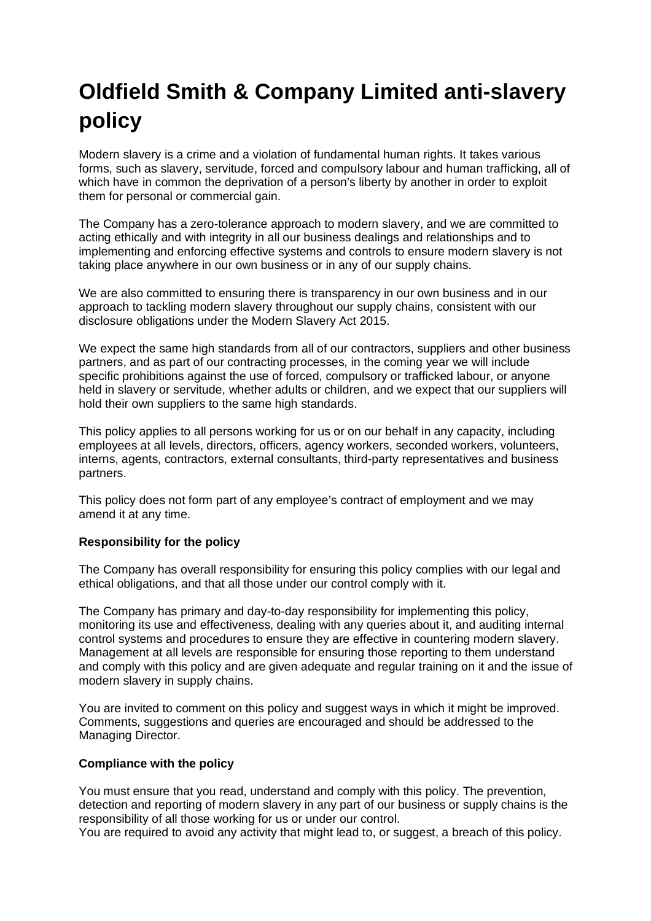# **Oldfield Smith & Company Limited anti-slavery policy**

Modern slavery is a crime and a violation of fundamental human rights. It takes various forms, such as slavery, servitude, forced and compulsory labour and human trafficking, all of which have in common the deprivation of a person's liberty by another in order to exploit them for personal or commercial gain.

The Company has a zero-tolerance approach to modern slavery, and we are committed to acting ethically and with integrity in all our business dealings and relationships and to implementing and enforcing effective systems and controls to ensure modern slavery is not taking place anywhere in our own business or in any of our supply chains.

We are also committed to ensuring there is transparency in our own business and in our approach to tackling modern slavery throughout our supply chains, consistent with our disclosure obligations under the Modern Slavery Act 2015.

We expect the same high standards from all of our contractors, suppliers and other business partners, and as part of our contracting processes, in the coming year we will include specific prohibitions against the use of forced, compulsory or trafficked labour, or anyone held in slavery or servitude, whether adults or children, and we expect that our suppliers will hold their own suppliers to the same high standards.

This policy applies to all persons working for us or on our behalf in any capacity, including employees at all levels, directors, officers, agency workers, seconded workers, volunteers, interns, agents, contractors, external consultants, third-party representatives and business partners.

This policy does not form part of any employee's contract of employment and we may amend it at any time.

# **Responsibility for the policy**

The Company has overall responsibility for ensuring this policy complies with our legal and ethical obligations, and that all those under our control comply with it.

The Company has primary and day-to-day responsibility for implementing this policy, monitoring its use and effectiveness, dealing with any queries about it, and auditing internal control systems and procedures to ensure they are effective in countering modern slavery. Management at all levels are responsible for ensuring those reporting to them understand and comply with this policy and are given adequate and regular training on it and the issue of modern slavery in supply chains.

You are invited to comment on this policy and suggest ways in which it might be improved. Comments, suggestions and queries are encouraged and should be addressed to the Managing Director.

# **Compliance with the policy**

You must ensure that you read, understand and comply with this policy. The prevention, detection and reporting of modern slavery in any part of our business or supply chains is the responsibility of all those working for us or under our control.

You are required to avoid any activity that might lead to, or suggest, a breach of this policy.